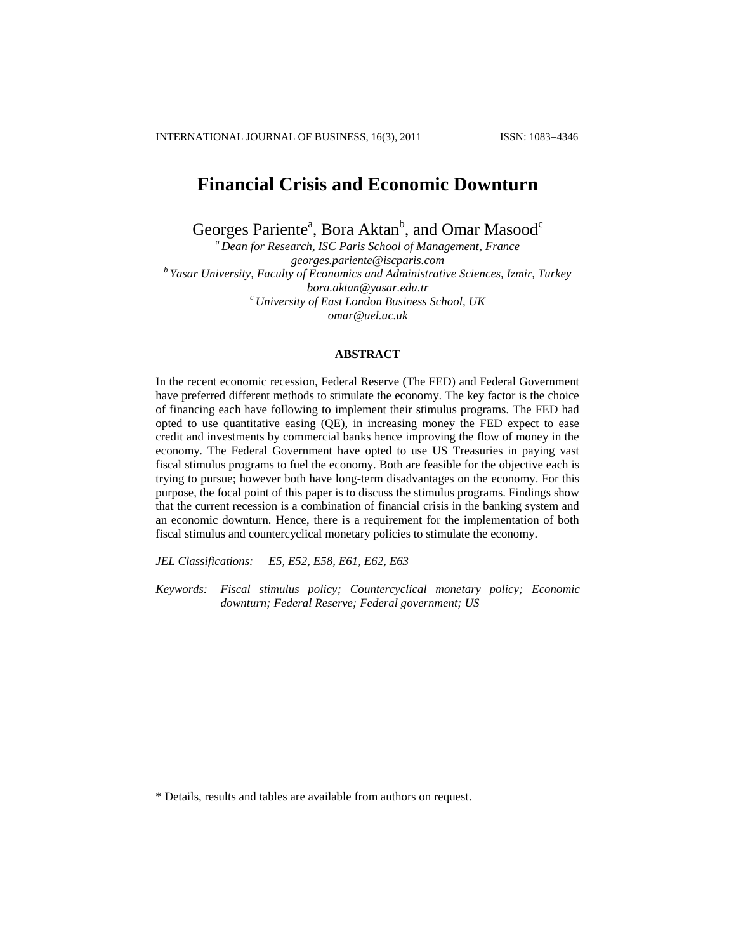# **Financial Crisis and Economic Downturn**

Georges Pariente<sup>a</sup>, Bora Aktan<sup>b</sup>, and Omar Masood<sup>c</sup>

*<sup>a</sup> Dean for Research, ISC Paris School of Management, France [georges.pariente@iscparis.com](mailto:georges.pariente@iscparis.com) b Yasar University, Faculty of Economics and Administrative Sciences, Izmir, Turkey [bora.aktan@yasar.edu.tr](mailto:bora.aktan@yasar.edu.tr) <sup>c</sup> University of East London Business School, UK [omar@uel.ac.uk](mailto:omar@uel.ac.uk)*

## **ABSTRACT**

In the recent economic recession, Federal Reserve (The FED) and Federal Government have preferred different methods to stimulate the economy. The key factor is the choice of financing each have following to implement their stimulus programs. The FED had opted to use quantitative easing (QE), in increasing money the FED expect to ease credit and investments by commercial banks hence improving the flow of money in the economy. The Federal Government have opted to use US Treasuries in paying vast fiscal stimulus programs to fuel the economy. Both are feasible for the objective each is trying to pursue; however both have long-term disadvantages on the economy. For this purpose, the focal point of this paper is to discuss the stimulus programs. Findings show that the current recession is a combination of financial crisis in the banking system and an economic downturn. Hence, there is a requirement for the implementation of both fiscal stimulus and countercyclical monetary policies to stimulate the economy.

*JEL Classifications: E5, E52, E58, E61, E62, E63* 

*Keywords: Fiscal stimulus policy; Countercyclical monetary policy; Economic downturn; Federal Reserve; Federal government; US*

\* Details, results and tables are available from authors on request.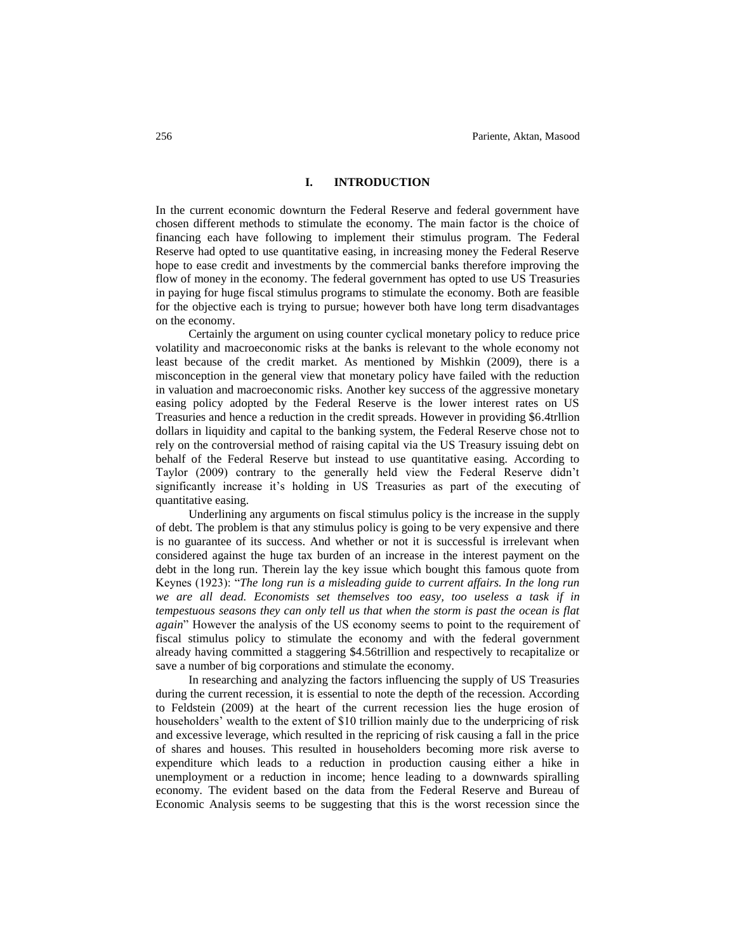### **I. INTRODUCTION**

In the current economic downturn the Federal Reserve and federal government have chosen different methods to stimulate the economy. The main factor is the choice of financing each have following to implement their stimulus program. The Federal Reserve had opted to use quantitative easing, in increasing money the Federal Reserve hope to ease credit and investments by the commercial banks therefore improving the flow of money in the economy. The federal government has opted to use US Treasuries in paying for huge fiscal stimulus programs to stimulate the economy. Both are feasible for the objective each is trying to pursue; however both have long term disadvantages on the economy.

Certainly the argument on using counter cyclical monetary policy to reduce price volatility and macroeconomic risks at the banks is relevant to the whole economy not least because of the credit market. As mentioned by Mishkin (2009), there is a misconception in the general view that monetary policy have failed with the reduction in valuation and macroeconomic risks. Another key success of the aggressive monetary easing policy adopted by the Federal Reserve is the lower interest rates on US Treasuries and hence a reduction in the credit spreads. However in providing \$6.4trllion dollars in liquidity and capital to the banking system, the Federal Reserve chose not to rely on the controversial method of raising capital via the US Treasury issuing debt on behalf of the Federal Reserve but instead to use quantitative easing. According to Taylor (2009) contrary to the generally held view the Federal Reserve didn't significantly increase it's holding in US Treasuries as part of the executing of quantitative easing.

Underlining any arguments on fiscal stimulus policy is the increase in the supply of debt. The problem is that any stimulus policy is going to be very expensive and there is no guarantee of its success. And whether or not it is successful is irrelevant when considered against the huge tax burden of an increase in the interest payment on the debt in the long run. Therein lay the key issue which bought this famous quote from Keynes (1923): "*The long run is a misleading guide to current affairs. In the long run we are all dead. Economists set themselves too easy, too useless a task if in tempestuous seasons they can only tell us that when the storm is past the ocean is flat again*" However the analysis of the US economy seems to point to the requirement of fiscal stimulus policy to stimulate the economy and with the federal government already having committed a staggering \$4.56trillion and respectively to recapitalize or save a number of big corporations and stimulate the economy.

In researching and analyzing the factors influencing the supply of US Treasuries during the current recession, it is essential to note the depth of the recession. According to Feldstein (2009) at the heart of the current recession lies the huge erosion of householders' wealth to the extent of \$10 trillion mainly due to the underpricing of risk and excessive leverage, which resulted in the repricing of risk causing a fall in the price of shares and houses. This resulted in householders becoming more risk averse to expenditure which leads to a reduction in production causing either a hike in unemployment or a reduction in income; hence leading to a downwards spiralling economy. The evident based on the data from the Federal Reserve and Bureau of Economic Analysis seems to be suggesting that this is the worst recession since the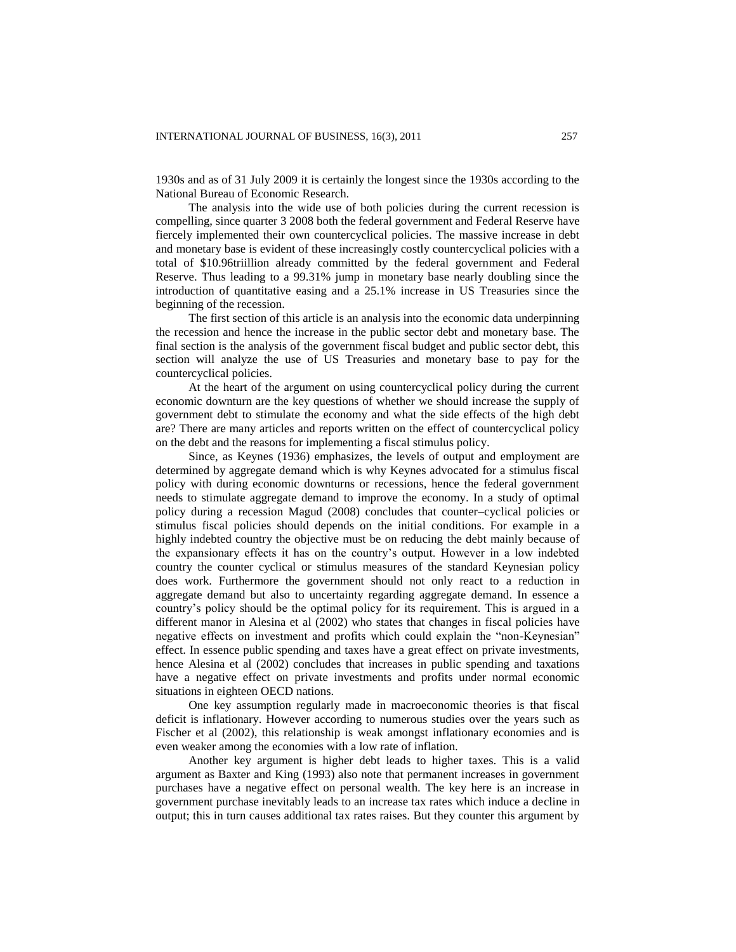1930s and as of 31 July 2009 it is certainly the longest since the 1930s according to the National Bureau of Economic Research.

The analysis into the wide use of both policies during the current recession is compelling, since quarter 3 2008 both the federal government and Federal Reserve have fiercely implemented their own countercyclical policies. The massive increase in debt and monetary base is evident of these increasingly costly countercyclical policies with a total of \$10.96triillion already committed by the federal government and Federal Reserve. Thus leading to a 99.31% jump in monetary base nearly doubling since the introduction of quantitative easing and a 25.1% increase in US Treasuries since the beginning of the recession.

The first section of this article is an analysis into the economic data underpinning the recession and hence the increase in the public sector debt and monetary base. The final section is the analysis of the government fiscal budget and public sector debt, this section will analyze the use of US Treasuries and monetary base to pay for the countercyclical policies.

At the heart of the argument on using countercyclical policy during the current economic downturn are the key questions of whether we should increase the supply of government debt to stimulate the economy and what the side effects of the high debt are? There are many articles and reports written on the effect of countercyclical policy on the debt and the reasons for implementing a fiscal stimulus policy.

Since, as Keynes (1936) emphasizes, the levels of output and employment are determined by aggregate demand which is why Keynes advocated for a stimulus fiscal policy with during economic downturns or recessions, hence the federal government needs to stimulate aggregate demand to improve the economy. In a study of optimal policy during a recession Magud (2008) concludes that counter–cyclical policies or stimulus fiscal policies should depends on the initial conditions. For example in a highly indebted country the objective must be on reducing the debt mainly because of the expansionary effects it has on the country's output. However in a low indebted country the counter cyclical or stimulus measures of the standard Keynesian policy does work. Furthermore the government should not only react to a reduction in aggregate demand but also to uncertainty regarding aggregate demand. In essence a country's policy should be the optimal policy for its requirement. This is argued in a different manor in Alesina et al (2002) who states that changes in fiscal policies have negative effects on investment and profits which could explain the "non-Keynesian" effect. In essence public spending and taxes have a great effect on private investments, hence Alesina et al (2002) concludes that increases in public spending and taxations have a negative effect on private investments and profits under normal economic situations in eighteen OECD nations.

One key assumption regularly made in macroeconomic theories is that fiscal deficit is inflationary. However according to numerous studies over the years such as Fischer et al (2002), this relationship is weak amongst inflationary economies and is even weaker among the economies with a low rate of inflation.

Another key argument is higher debt leads to higher taxes. This is a valid argument as Baxter and King (1993) also note that permanent increases in government purchases have a negative effect on personal wealth. The key here is an increase in government purchase inevitably leads to an increase tax rates which induce a decline in output; this in turn causes additional tax rates raises. But they counter this argument by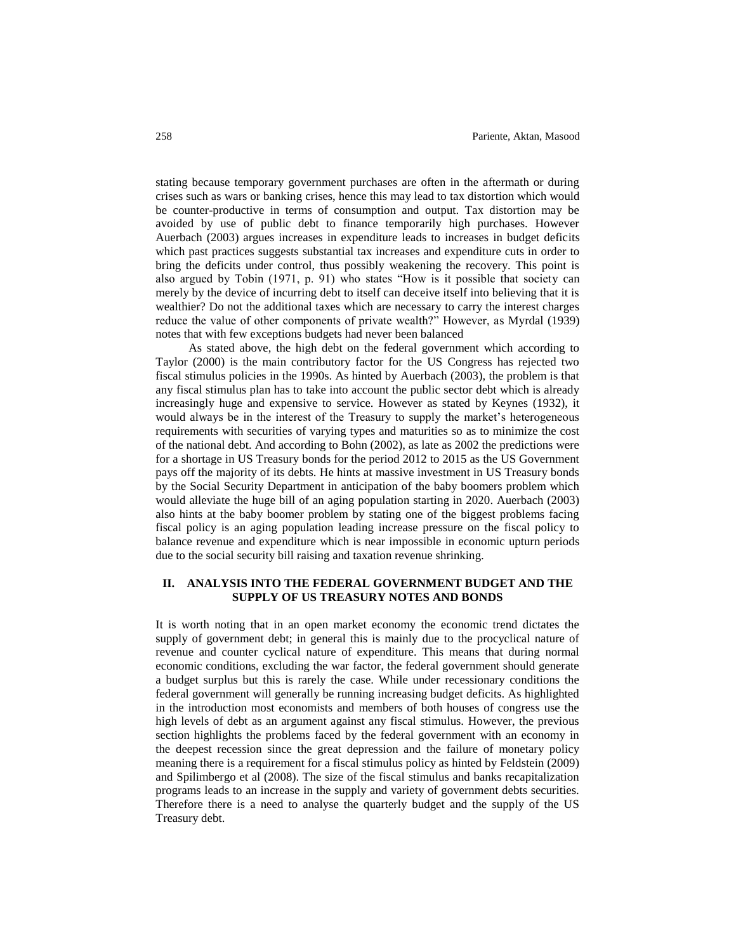stating because temporary government purchases are often in the aftermath or during crises such as wars or banking crises, hence this may lead to tax distortion which would be counter-productive in terms of consumption and output. Tax distortion may be avoided by use of public debt to finance temporarily high purchases. However Auerbach (2003) argues increases in expenditure leads to increases in budget deficits which past practices suggests substantial tax increases and expenditure cuts in order to bring the deficits under control, thus possibly weakening the recovery. This point is also argued by Tobin (1971, p. 91) who states "How is it possible that society can merely by the device of incurring debt to itself can deceive itself into believing that it is wealthier? Do not the additional taxes which are necessary to carry the interest charges reduce the value of other components of private wealth?" However, as Myrdal (1939) notes that with few exceptions budgets had never been balanced

As stated above, the high debt on the federal government which according to Taylor (2000) is the main contributory factor for the US Congress has rejected two fiscal stimulus policies in the 1990s. As hinted by Auerbach (2003), the problem is that any fiscal stimulus plan has to take into account the public sector debt which is already increasingly huge and expensive to service. However as stated by Keynes (1932), it would always be in the interest of the Treasury to supply the market's heterogeneous requirements with securities of varying types and maturities so as to minimize the cost of the national debt. And according to Bohn (2002), as late as 2002 the predictions were for a shortage in US Treasury bonds for the period 2012 to 2015 as the US Government pays off the majority of its debts. He hints at massive investment in US Treasury bonds by the Social Security Department in anticipation of the baby boomers problem which would alleviate the huge bill of an aging population starting in 2020. Auerbach (2003) also hints at the baby boomer problem by stating one of the biggest problems facing fiscal policy is an aging population leading increase pressure on the fiscal policy to balance revenue and expenditure which is near impossible in economic upturn periods due to the social security bill raising and taxation revenue shrinking.

# **II. ANALYSIS INTO THE FEDERAL GOVERNMENT BUDGET AND THE SUPPLY OF US TREASURY NOTES AND BONDS**

It is worth noting that in an open market economy the economic trend dictates the supply of government debt; in general this is mainly due to the procyclical nature of revenue and counter cyclical nature of expenditure. This means that during normal economic conditions, excluding the war factor, the federal government should generate a budget surplus but this is rarely the case. While under recessionary conditions the federal government will generally be running increasing budget deficits. As highlighted in the introduction most economists and members of both houses of congress use the high levels of debt as an argument against any fiscal stimulus. However, the previous section highlights the problems faced by the federal government with an economy in the deepest recession since the great depression and the failure of monetary policy meaning there is a requirement for a fiscal stimulus policy as hinted by Feldstein (2009) and Spilimbergo et al (2008). The size of the fiscal stimulus and banks recapitalization programs leads to an increase in the supply and variety of government debts securities. Therefore there is a need to analyse the quarterly budget and the supply of the US Treasury debt.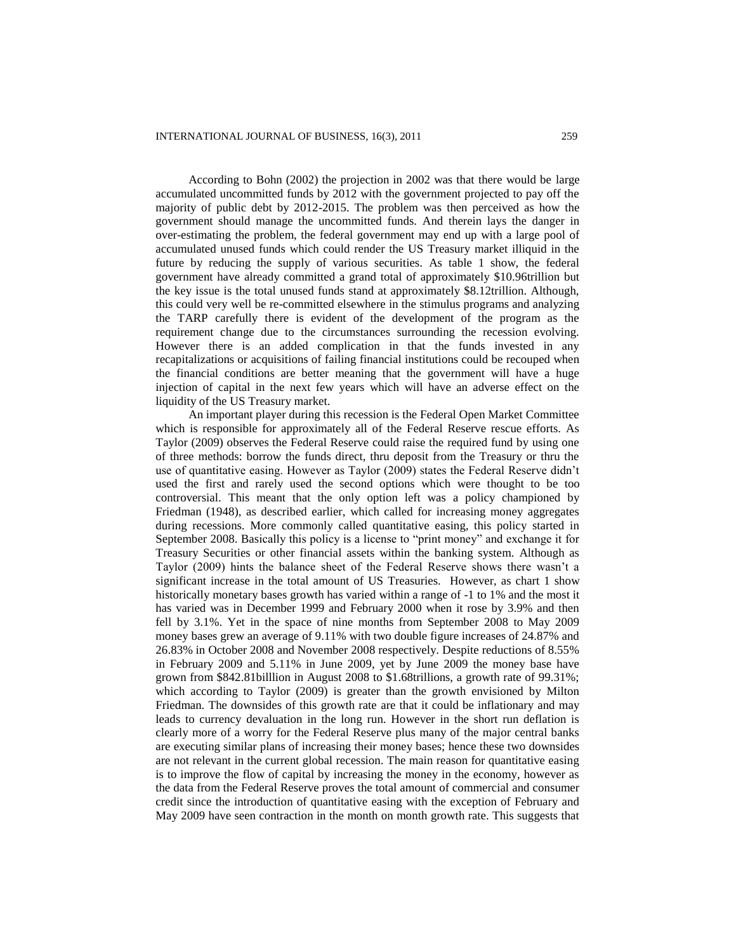According to Bohn (2002) the projection in 2002 was that there would be large accumulated uncommitted funds by 2012 with the government projected to pay off the majority of public debt by 2012-2015. The problem was then perceived as how the government should manage the uncommitted funds. And therein lays the danger in over-estimating the problem, the federal government may end up with a large pool of accumulated unused funds which could render the US Treasury market illiquid in the future by reducing the supply of various securities. As table 1 show, the federal government have already committed a grand total of approximately \$10.96trillion but the key issue is the total unused funds stand at approximately \$8.12trillion. Although, this could very well be re-committed elsewhere in the stimulus programs and analyzing the TARP carefully there is evident of the development of the program as the requirement change due to the circumstances surrounding the recession evolving. However there is an added complication in that the funds invested in any recapitalizations or acquisitions of failing financial institutions could be recouped when the financial conditions are better meaning that the government will have a huge injection of capital in the next few years which will have an adverse effect on the liquidity of the US Treasury market.

An important player during this recession is the Federal Open Market Committee which is responsible for approximately all of the Federal Reserve rescue efforts. As Taylor (2009) observes the Federal Reserve could raise the required fund by using one of three methods: borrow the funds direct, thru deposit from the Treasury or thru the use of quantitative easing. However as Taylor (2009) states the Federal Reserve didn't used the first and rarely used the second options which were thought to be too controversial. This meant that the only option left was a policy championed by Friedman (1948), as described earlier, which called for increasing money aggregates during recessions. More commonly called quantitative easing, this policy started in September 2008. Basically this policy is a license to "print money" and exchange it for Treasury Securities or other financial assets within the banking system. Although as Taylor (2009) hints the balance sheet of the Federal Reserve shows there wasn't a significant increase in the total amount of US Treasuries. However, as chart 1 show historically monetary bases growth has varied within a range of -1 to 1% and the most it has varied was in December 1999 and February 2000 when it rose by 3.9% and then fell by 3.1%. Yet in the space of nine months from September 2008 to May 2009 money bases grew an average of 9.11% with two double figure increases of 24.87% and 26.83% in October 2008 and November 2008 respectively. Despite reductions of 8.55% in February 2009 and 5.11% in June 2009, yet by June 2009 the money base have grown from \$842.81billlion in August 2008 to \$1.68trillions, a growth rate of 99.31%; which according to Taylor (2009) is greater than the growth envisioned by Milton Friedman. The downsides of this growth rate are that it could be inflationary and may leads to currency devaluation in the long run. However in the short run deflation is clearly more of a worry for the Federal Reserve plus many of the major central banks are executing similar plans of increasing their money bases; hence these two downsides are not relevant in the current global recession. The main reason for quantitative easing is to improve the flow of capital by increasing the money in the economy, however as the data from the Federal Reserve proves the total amount of commercial and consumer credit since the introduction of quantitative easing with the exception of February and May 2009 have seen contraction in the month on month growth rate. This suggests that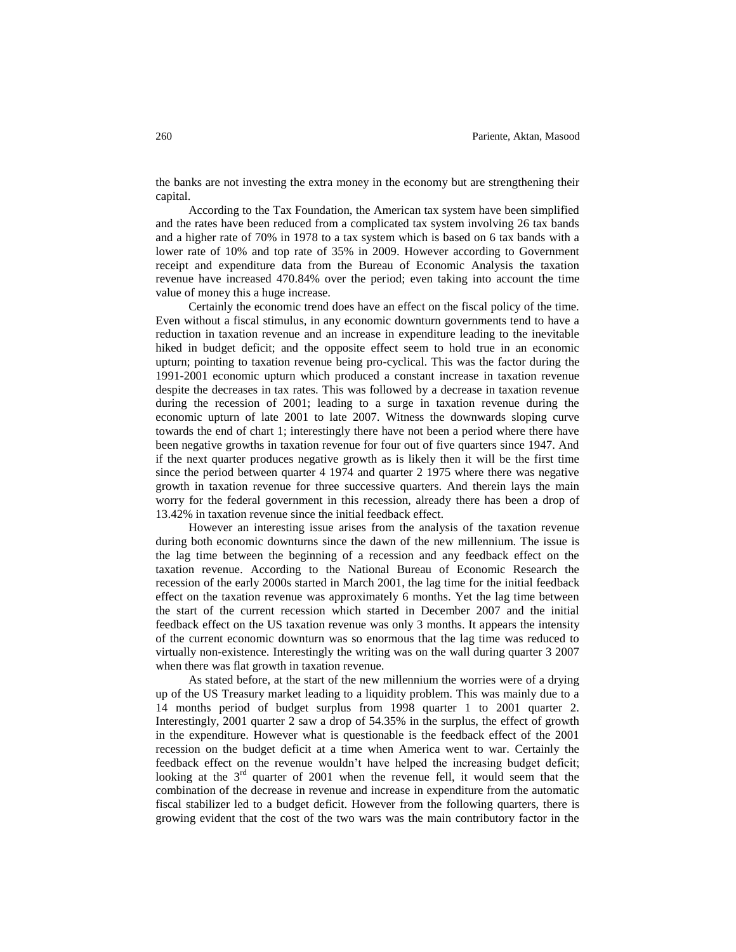the banks are not investing the extra money in the economy but are strengthening their capital.

According to the Tax Foundation, the American tax system have been simplified and the rates have been reduced from a complicated tax system involving 26 tax bands and a higher rate of 70% in 1978 to a tax system which is based on 6 tax bands with a lower rate of 10% and top rate of 35% in 2009. However according to Government receipt and expenditure data from the Bureau of Economic Analysis the taxation revenue have increased 470.84% over the period; even taking into account the time value of money this a huge increase.

Certainly the economic trend does have an effect on the fiscal policy of the time. Even without a fiscal stimulus, in any economic downturn governments tend to have a reduction in taxation revenue and an increase in expenditure leading to the inevitable hiked in budget deficit; and the opposite effect seem to hold true in an economic upturn; pointing to taxation revenue being pro-cyclical. This was the factor during the 1991-2001 economic upturn which produced a constant increase in taxation revenue despite the decreases in tax rates. This was followed by a decrease in taxation revenue during the recession of 2001; leading to a surge in taxation revenue during the economic upturn of late 2001 to late 2007. Witness the downwards sloping curve towards the end of chart 1; interestingly there have not been a period where there have been negative growths in taxation revenue for four out of five quarters since 1947. And if the next quarter produces negative growth as is likely then it will be the first time since the period between quarter 4 1974 and quarter 2 1975 where there was negative growth in taxation revenue for three successive quarters. And therein lays the main worry for the federal government in this recession, already there has been a drop of 13.42% in taxation revenue since the initial feedback effect.

However an interesting issue arises from the analysis of the taxation revenue during both economic downturns since the dawn of the new millennium. The issue is the lag time between the beginning of a recession and any feedback effect on the taxation revenue. According to the National Bureau of Economic Research the recession of the early 2000s started in March 2001, the lag time for the initial feedback effect on the taxation revenue was approximately 6 months. Yet the lag time between the start of the current recession which started in December 2007 and the initial feedback effect on the US taxation revenue was only 3 months. It appears the intensity of the current economic downturn was so enormous that the lag time was reduced to virtually non-existence. Interestingly the writing was on the wall during quarter 3 2007 when there was flat growth in taxation revenue.

As stated before, at the start of the new millennium the worries were of a drying up of the US Treasury market leading to a liquidity problem. This was mainly due to a 14 months period of budget surplus from 1998 quarter 1 to 2001 quarter 2. Interestingly, 2001 quarter 2 saw a drop of 54.35% in the surplus, the effect of growth in the expenditure. However what is questionable is the feedback effect of the 2001 recession on the budget deficit at a time when America went to war. Certainly the feedback effect on the revenue wouldn't have helped the increasing budget deficit; looking at the  $3<sup>rd</sup>$  quarter of 2001 when the revenue fell, it would seem that the combination of the decrease in revenue and increase in expenditure from the automatic fiscal stabilizer led to a budget deficit. However from the following quarters, there is growing evident that the cost of the two wars was the main contributory factor in the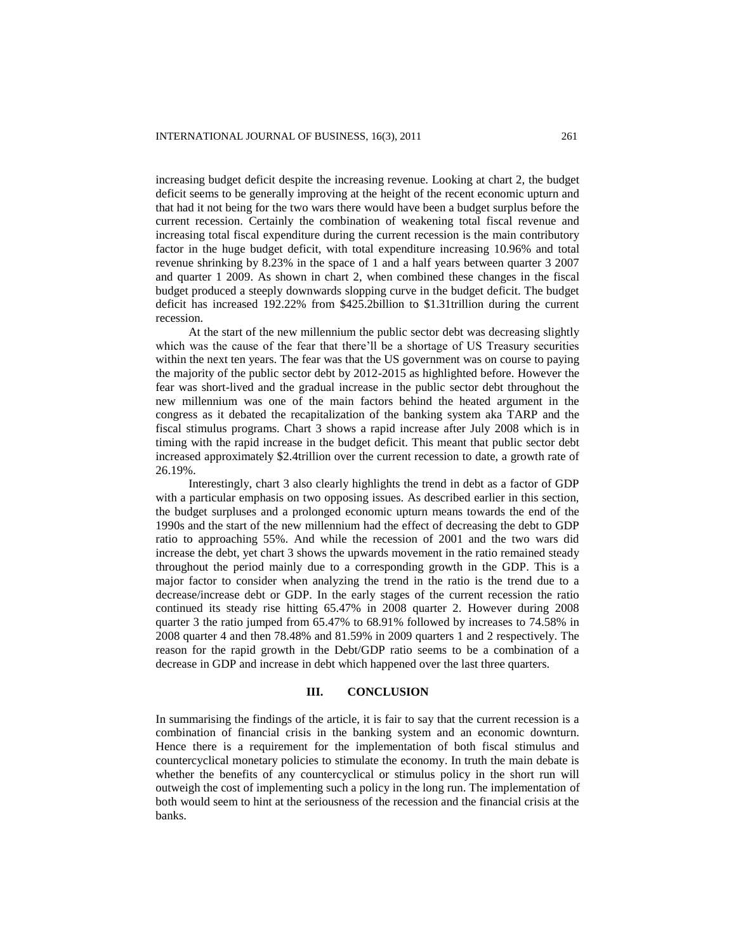increasing budget deficit despite the increasing revenue. Looking at chart 2, the budget deficit seems to be generally improving at the height of the recent economic upturn and that had it not being for the two wars there would have been a budget surplus before the current recession. Certainly the combination of weakening total fiscal revenue and increasing total fiscal expenditure during the current recession is the main contributory factor in the huge budget deficit, with total expenditure increasing 10.96% and total revenue shrinking by 8.23% in the space of 1 and a half years between quarter 3 2007 and quarter 1 2009. As shown in chart 2, when combined these changes in the fiscal budget produced a steeply downwards slopping curve in the budget deficit. The budget deficit has increased 192.22% from \$425.2billion to \$1.31trillion during the current recession.

At the start of the new millennium the public sector debt was decreasing slightly which was the cause of the fear that there'll be a shortage of US Treasury securities within the next ten years. The fear was that the US government was on course to paying the majority of the public sector debt by 2012-2015 as highlighted before. However the fear was short-lived and the gradual increase in the public sector debt throughout the new millennium was one of the main factors behind the heated argument in the congress as it debated the recapitalization of the banking system aka TARP and the fiscal stimulus programs. Chart 3 shows a rapid increase after July 2008 which is in timing with the rapid increase in the budget deficit. This meant that public sector debt increased approximately \$2.4trillion over the current recession to date, a growth rate of 26.19%.

Interestingly, chart 3 also clearly highlights the trend in debt as a factor of GDP with a particular emphasis on two opposing issues. As described earlier in this section, the budget surpluses and a prolonged economic upturn means towards the end of the 1990s and the start of the new millennium had the effect of decreasing the debt to GDP ratio to approaching 55%. And while the recession of 2001 and the two wars did increase the debt, yet chart 3 shows the upwards movement in the ratio remained steady throughout the period mainly due to a corresponding growth in the GDP. This is a major factor to consider when analyzing the trend in the ratio is the trend due to a decrease/increase debt or GDP. In the early stages of the current recession the ratio continued its steady rise hitting 65.47% in 2008 quarter 2. However during 2008 quarter 3 the ratio jumped from 65.47% to 68.91% followed by increases to 74.58% in 2008 quarter 4 and then 78.48% and 81.59% in 2009 quarters 1 and 2 respectively. The reason for the rapid growth in the Debt/GDP ratio seems to be a combination of a decrease in GDP and increase in debt which happened over the last three quarters.

#### **III. CONCLUSION**

In summarising the findings of the article, it is fair to say that the current recession is a combination of financial crisis in the banking system and an economic downturn. Hence there is a requirement for the implementation of both fiscal stimulus and countercyclical monetary policies to stimulate the economy. In truth the main debate is whether the benefits of any countercyclical or stimulus policy in the short run will outweigh the cost of implementing such a policy in the long run. The implementation of both would seem to hint at the seriousness of the recession and the financial crisis at the banks.